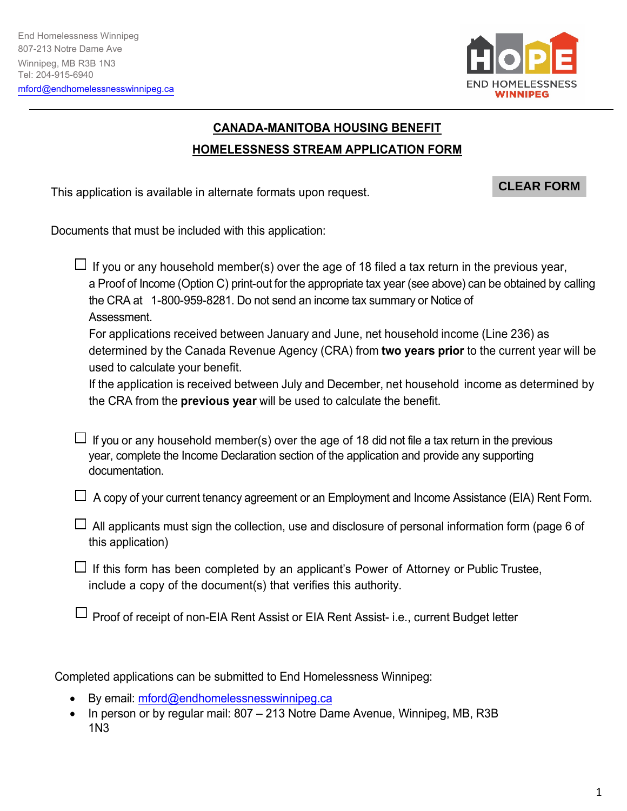

## **CANADA-MANITOBA HOUSING BENEFIT HOMELESSNESS STREAM APPLICATION FORM**

This application is available in alternate formats upon request.

#### **CLEAR FORM**

Documents that must be included with this application:

 $\Box$  If you or any household member(s) over the age of 18 filed a tax return in the previous year, a Proof of Income (Option C) print-out for the appropriate tax year (see above) can be obtained by calling the CRA at 1-800-959-8281. Do not send an income tax summary or Notice of Assessment.

For applications received between January and June, net household income (Line 236) as determined by the Canada Revenue Agency (CRA) from **two years prior** to the current year will be used to calculate your benefit.

If the application is received between July and December, net household income as determined by the CRA from the **previous year** will be used to calculate the benefit.

 $\Box$  If you or any household member(s) over the age of 18 did not file a tax return in the previous year, complete the Income Declaration section of the application and provide any supporting documentation.

 $\Box$  A copy of your current tenancy agreement or an Employment and Income Assistance (EIA) Rent Form.

 $\Box$  All applicants must sign the collection, use and disclosure of personal information form (page 6 of this application)

 $\Box$  If this form has been completed by an applicant's Power of Attorney or Public Trustee, include a copy of the document(s) that verifies this authority.

 $\Box$  Proof of receipt of non-EIA Rent Assist or EIA Rent Assist- i.e., current Budget letter

Completed applications can be submitted to End Homelessness Winnipeg:

- By email: mford@endhomelessnesswinnipeg.ca
- In person or by regular mail: 807 213 Notre Dame Avenue, Winnipeg, MB, R3B 1N3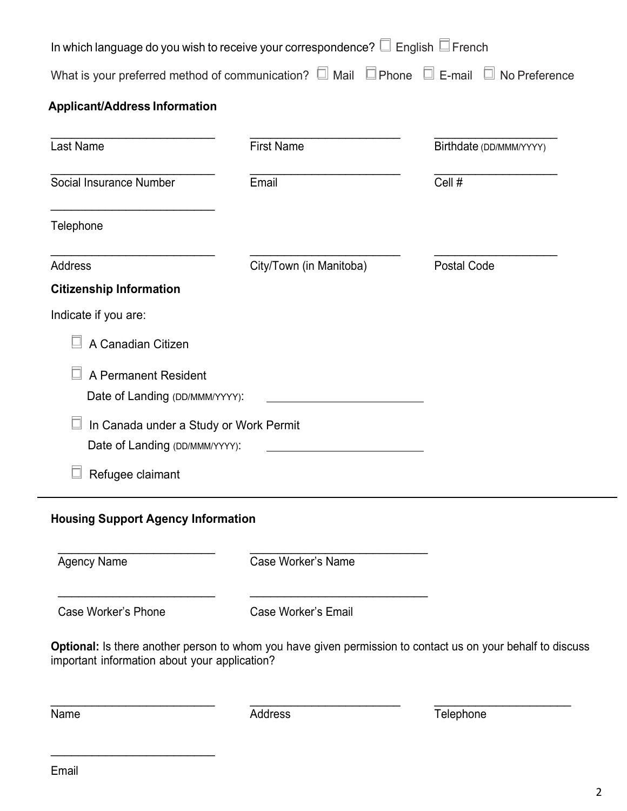| In which language do you wish to receive your correspondence? $\square$ English $\square$ French                        |                         |                         |
|-------------------------------------------------------------------------------------------------------------------------|-------------------------|-------------------------|
| What is your preferred method of communication? $\square$ Mail $\square$ Phone $\square$ E-mail $\square$ No Preference |                         |                         |
| <b>Applicant/Address Information</b>                                                                                    |                         |                         |
| Last Name                                                                                                               | <b>First Name</b>       | Birthdate (DD/MMM/YYYY) |
| Social Insurance Number                                                                                                 | Email                   | Cell #                  |
| Telephone                                                                                                               |                         |                         |
| <b>Address</b>                                                                                                          | City/Town (in Manitoba) | <b>Postal Code</b>      |
| <b>Citizenship Information</b>                                                                                          |                         |                         |
| Indicate if you are:                                                                                                    |                         |                         |
| A Canadian Citizen                                                                                                      |                         |                         |
| A Permanent Resident<br>Date of Landing (DD/MMM/YYYY):                                                                  |                         |                         |
| In Canada under a Study or Work Permit<br>Date of Landing (DD/MMM/YYYY):                                                |                         |                         |
| Refugee claimant                                                                                                        |                         |                         |
|                                                                                                                         |                         |                         |

# **Housing Support Agency Information** \_\_\_\_\_\_\_\_\_\_\_\_\_\_\_\_\_\_\_\_\_\_\_

\_\_\_\_\_\_\_\_\_\_\_\_\_\_\_\_\_\_\_\_\_\_\_

\_\_\_\_\_\_\_\_\_\_\_\_\_\_\_\_\_\_\_\_\_\_\_\_

\_\_\_\_\_\_\_\_\_\_\_\_\_\_\_\_\_\_\_\_\_\_\_\_

Agency Name

\_\_\_\_\_\_\_\_\_\_\_\_\_\_\_\_\_\_\_\_\_\_\_\_\_\_ Case Worker's Name

Case Worker's Phone

Case Worker's Email

**Optional:** Is there another person to whom you have given permission to contact us on your behalf to discuss important information about your application?

\_\_\_\_\_\_\_\_\_\_\_\_\_\_\_\_\_\_\_\_\_\_

\_\_\_\_\_\_\_\_\_\_\_\_\_\_\_\_\_\_\_\_\_\_\_\_\_\_

**Name** 

**Address** 

\_\_\_\_\_\_\_\_\_\_\_\_\_\_\_\_\_\_\_\_ **Telephone**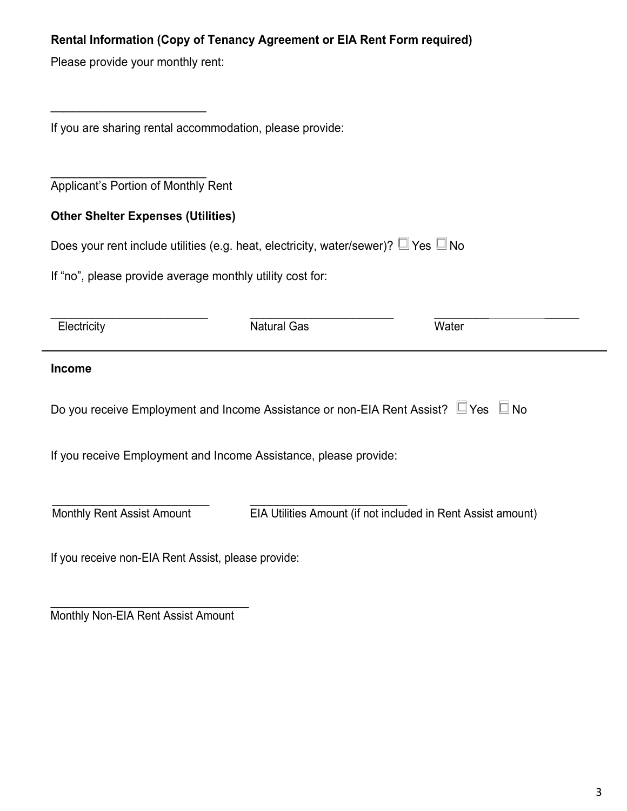#### **Rental Information (Copy of Tenancy Agreement or EIA Rent Form required)**

Please provide your monthly rent:

\_\_\_\_\_\_\_\_\_\_\_\_\_\_\_\_\_\_\_\_\_\_\_\_

If you are sharing rental accommodation, please provide:

\_\_\_\_\_\_\_\_\_\_\_\_\_\_\_\_\_\_\_\_\_\_\_\_ Applicant's Portion of Monthly Rent

#### **Other Shelter Expenses (Utilities)**

| Does your rent include utilities (e.g. heat, electricity, water/sewer)? $\square$ Yes $\square$ No |  |  |  |
|----------------------------------------------------------------------------------------------------|--|--|--|
|----------------------------------------------------------------------------------------------------|--|--|--|

If "no", please provide average monthly utility cost for:

| Electricity                                                                        | <b>Natural Gas</b> | Water |
|------------------------------------------------------------------------------------|--------------------|-------|
| <b>Income</b>                                                                      |                    |       |
| Do you receive Employment and Income Assistance or non-EIA Rent Assist? □ Yes □ No |                    |       |
| If you receive Employment and Income Assistance, please provide:                   |                    |       |
|                                                                                    |                    |       |

Monthly Rent Assist Amount

EIA Utilities Amount (if not included in Rent Assist amount)

If you receive non-EIA Rent Assist, please provide:

\_\_\_\_\_\_\_\_\_\_\_\_\_\_\_\_\_\_\_\_\_\_\_\_\_\_\_\_\_ Monthly Non-EIA Rent Assist Amount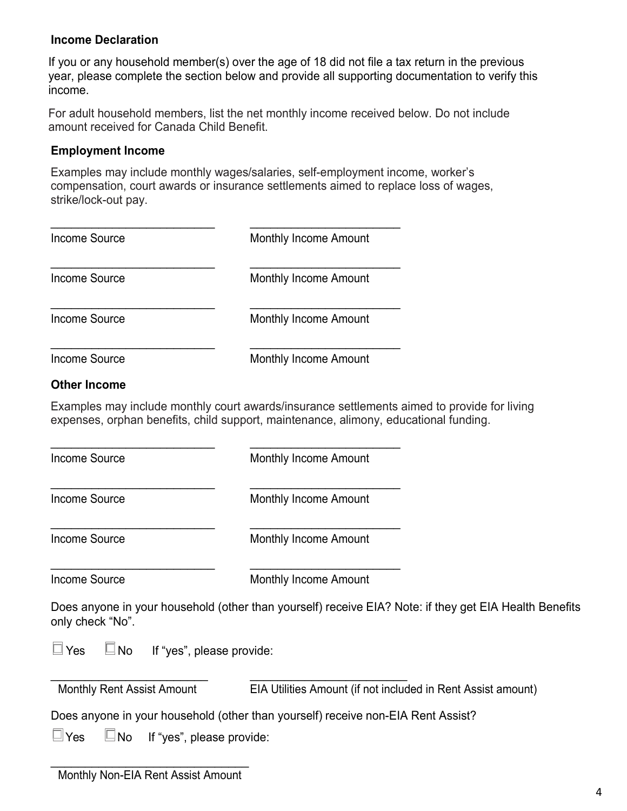#### **Income Declaration**

If you or any household member(s) over the age of 18 did not file a tax return in the previous year, please complete the section below and provide all supporting documentation to verify this income.

For adult household members, list the net monthly income received below. Do not include amount received for Canada Child Benefit.

#### **Employment Income**

Examples may include monthly wages/salaries, self-employment income, worker's compensation, court awards or insurance settlements aimed to replace loss of wages, strike/lock-out pay.

| Income Source       | <b>Monthly Income Amount</b> |  |
|---------------------|------------------------------|--|
| Income Source       | <b>Monthly Income Amount</b> |  |
| Income Source       | <b>Monthly Income Amount</b> |  |
| Income Source       | <b>Monthly Income Amount</b> |  |
| <b>Other Income</b> |                              |  |

### Examples may include monthly court awards/insurance settlements aimed to provide for living expenses, orphan benefits, child support, maintenance, alimony, educational funding.

Income Source

\_\_\_\_\_\_\_\_\_\_\_\_\_\_\_\_\_\_\_\_\_\_\_\_

\_\_\_\_\_\_\_\_\_\_\_\_\_\_\_\_\_\_\_\_\_\_\_\_

\_\_\_\_\_\_\_\_\_\_\_\_\_\_\_\_\_\_\_\_\_\_\_\_

\_\_\_\_\_\_\_\_\_\_\_\_\_\_\_\_\_\_\_\_\_\_\_\_

Monthly Income Amount

\_\_\_\_\_\_\_\_\_\_\_\_\_\_\_\_\_\_\_\_\_\_

\_\_\_\_\_\_\_\_\_\_\_\_\_\_\_\_\_\_\_\_\_\_

\_\_\_\_\_\_\_\_\_\_\_\_\_\_\_\_\_\_\_\_\_\_

Income Source

\_\_\_\_\_\_\_\_\_\_\_\_\_\_\_\_\_\_\_\_\_\_ Monthly Income Amount

Income Source

Monthly Income Amount

Income Source

Monthly Income Amount

Does anyone in your household (other than yourself) receive EIA? Note: if they get EIA Health Benefits only check "No".

 $\Box$  Yes  $\Box$  No If "yes", please provide:

| <b>Monthly Rent Assist Amount</b> | EIA Utilities Amount (if not included in Rent Assist amount) |
|-----------------------------------|--------------------------------------------------------------|

Does anyone in your household (other than yourself) receive non-EIA Rent Assist?

 $\Box$  Yes  $\Box$  No If "yes", please provide: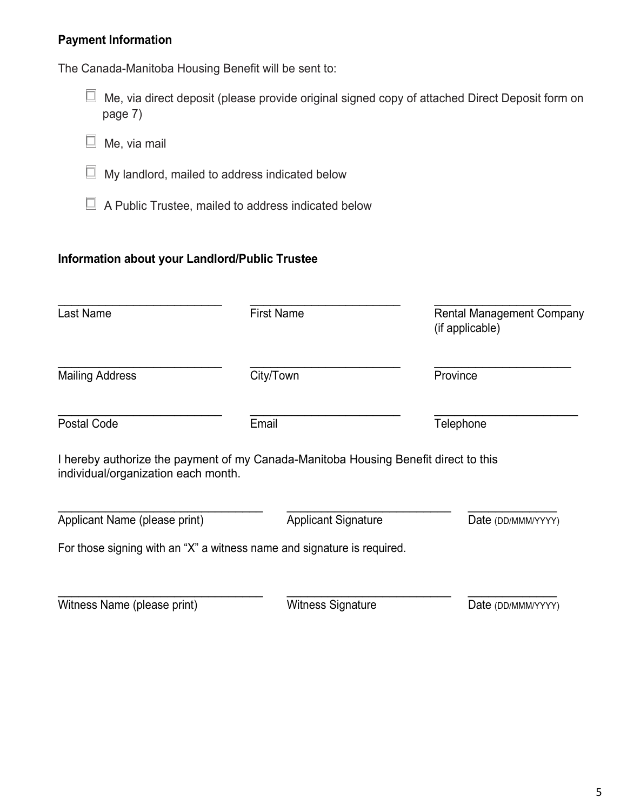#### **Payment Information**

The Canada-Manitoba Housing Benefit will be sent to:

- $\Box$  Me, via direct deposit (please provide original signed copy of attached Direct Deposit form on page 7)
- $\Box$  Me, via mail
- $\Box$  My landlord, mailed to address indicated below
- A Public Trustee, mailed to address indicated below

#### **Information about your Landlord/Public Trustee**

| Last Name                           | <b>First Name</b>                                                                   | <b>Rental Management Company</b><br>(if applicable) |
|-------------------------------------|-------------------------------------------------------------------------------------|-----------------------------------------------------|
| <b>Mailing Address</b>              | City/Town                                                                           | Province                                            |
| <b>Postal Code</b>                  | Email                                                                               | Telephone                                           |
| individual/organization each month. | I hereby authorize the payment of my Canada-Manitoba Housing Benefit direct to this |                                                     |
| Applicant Name (please print)       | <b>Applicant Signature</b>                                                          | Date (DD/MMM/YYYY)                                  |
|                                     | For those signing with an "X" a witness name and signature is required.             |                                                     |
|                                     |                                                                                     |                                                     |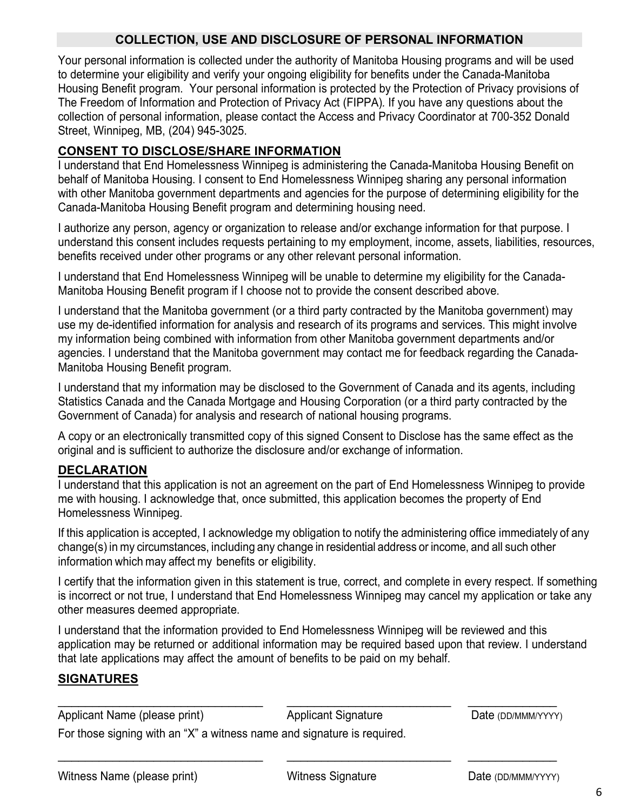#### **COLLECTION, USE AND DISCLOSURE OF PERSONAL INFORMATION**

Your personal information is collected under the authority of Manitoba Housing programs and will be used to determine your eligibility and verify your ongoing eligibility for benefits under the Canada-Manitoba Housing Benefit program. Your personal information is protected by the Protection of Privacy provisions of The Freedom of Information and Protection of Privacy Act (FIPPA)*.* If you have any questions about the collection of personal information, please contact the Access and Privacy Coordinator at 700-352 Donald Street, Winnipeg, MB, (204) 945-3025.

#### **CONSENT TO DISCLOSE/SHARE INFORMATION**

I understand that End Homelessness Winnipeg is administering the Canada-Manitoba Housing Benefit on behalf of Manitoba Housing. I consent to End Homelessness Winnipeg sharing any personal information with other Manitoba government departments and agencies for the purpose of determining eligibility for the Canada-Manitoba Housing Benefit program and determining housing need.

I authorize any person, agency or organization to release and/or exchange information for that purpose. I understand this consent includes requests pertaining to my employment, income, assets, liabilities, resources, benefits received under other programs or any other relevant personal information.

I understand that End Homelessness Winnipeg will be unable to determine my eligibility for the Canada-Manitoba Housing Benefit program if I choose not to provide the consent described above.

I understand that the Manitoba government (or a third party contracted by the Manitoba government) may use my de-identified information for analysis and research of its programs and services. This might involve my information being combined with information from other Manitoba government departments and/or agencies. I understand that the Manitoba government may contact me for feedback regarding the Canada-Manitoba Housing Benefit program.

I understand that my information may be disclosed to the Government of Canada and its agents, including Statistics Canada and the Canada Mortgage and Housing Corporation (or a third party contracted by the Government of Canada) for analysis and research of national housing programs.

A copy or an electronically transmitted copy of this signed Consent to Disclose has the same effect as the original and is sufficient to authorize the disclosure and/or exchange of information.

#### **DECLARATION**

I understand that this application is not an agreement on the part of End Homelessness Winnipeg to provide me with housing. I acknowledge that, once submitted, this application becomes the property of End Homelessness Winnipeg.

If this application is accepted, I acknowledge my obligation to notify the administering office immediately of any change(s) in my circumstances, including any change in residential address or income, and all such other information which may affect my benefits or eligibility.

I certify that the information given in this statement is true, correct, and complete in every respect. If something is incorrect or not true, I understand that End Homelessness Winnipeg may cancel my application or take any other measures deemed appropriate.

I understand that the information provided to End Homelessness Winnipeg will be reviewed and this application may be returned or additional information may be required based upon that review. I understand that late applications may affect the amount of benefits to be paid on my behalf.

#### **SIGNATURES**

\_\_\_\_\_\_\_\_\_\_\_\_\_\_\_\_\_\_\_\_\_\_\_\_\_\_\_\_\_\_ Applicant Name (please print)

Applicant Signature

\_\_\_\_\_\_\_\_\_\_\_\_\_\_\_\_\_\_\_\_\_\_\_\_

\_\_\_\_\_\_\_\_\_\_\_\_\_\_\_\_\_\_\_\_\_\_\_\_

Date (DD/MMM/YYYY)

 $\overline{\phantom{a}}$ 

For those signing with an "X" a witness name and signature is required.

\_\_\_\_\_\_\_\_\_\_\_\_\_\_\_\_\_\_\_\_\_\_\_\_\_\_\_\_\_\_

 $\overline{\phantom{a}}$